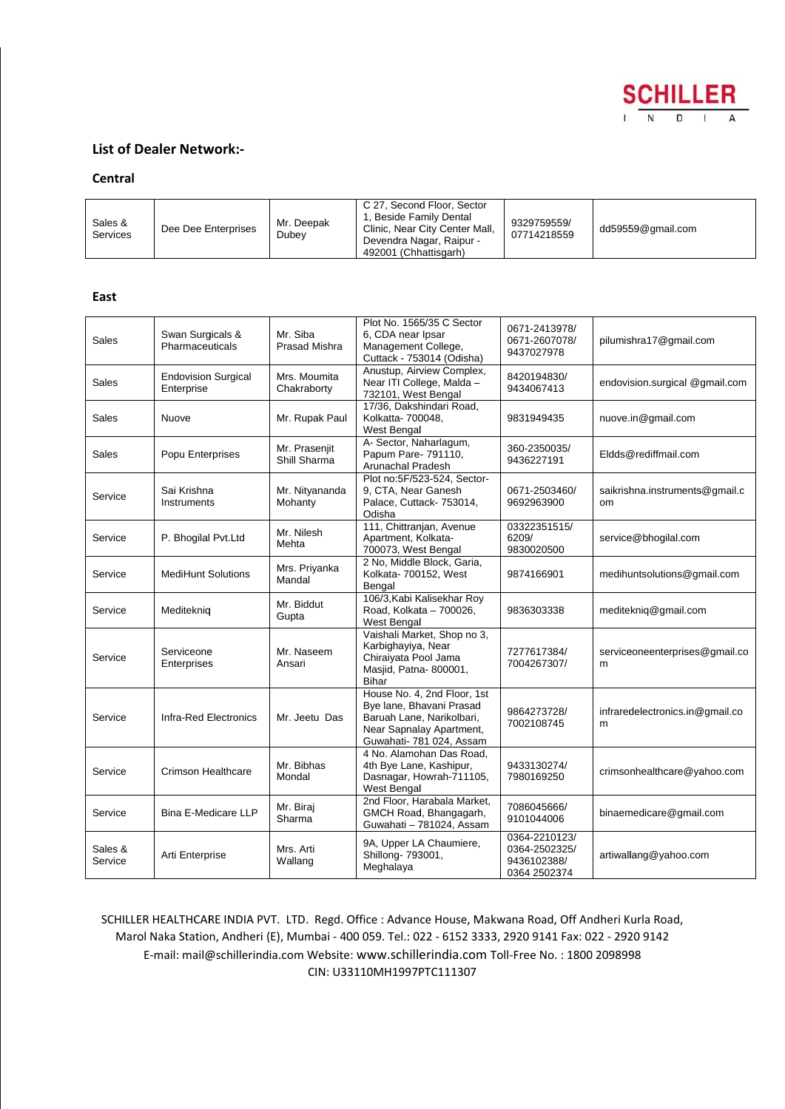

# **List of Dealer Network:-**

## **Central**

| Sales &<br>Services | Dee Dee Enterprises | Mr. Deepak<br>Dubey | C 27, Second Floor, Sector<br>, Beside Family Dental<br>Clinic, Near City Center Mall,<br>Devendra Nagar, Raipur -<br>492001 (Chhattisgarh) | 9329759559/<br>07714218559 | dd59559@gmail.com |
|---------------------|---------------------|---------------------|---------------------------------------------------------------------------------------------------------------------------------------------|----------------------------|-------------------|
|---------------------|---------------------|---------------------|---------------------------------------------------------------------------------------------------------------------------------------------|----------------------------|-------------------|

### **East**

| Sales              | Swan Surgicals &<br>Pharmaceuticals      | Mr. Siba<br><b>Prasad Mishra</b> | Plot No. 1565/35 C Sector<br>6, CDA near Ipsar<br>Management College,<br>Cuttack - 753014 (Odisha)                                           | 0671-2413978/<br>0671-2607078/<br>9437027978                  | pilumishra17@gmail.com                          |
|--------------------|------------------------------------------|----------------------------------|----------------------------------------------------------------------------------------------------------------------------------------------|---------------------------------------------------------------|-------------------------------------------------|
| Sales              | <b>Endovision Surgical</b><br>Enterprise | Mrs. Moumita<br>Chakraborty      | Anustup, Airview Complex,<br>Near ITI College, Malda -<br>732101, West Bengal                                                                | 8420194830/<br>9434067413                                     | endovision.surgical @gmail.com                  |
| Sales              | Nuove                                    | Mr. Rupak Paul                   | 17/36, Dakshindari Road,<br>Kolkatta- 700048,<br><b>West Bengal</b>                                                                          | 9831949435                                                    | nuove.in@gmail.com                              |
| Sales              | Popu Enterprises                         | Mr. Prasenjit<br>Shill Sharma    | A- Sector, Naharlagum,<br>Papum Pare- 791110,<br><b>Arunachal Pradesh</b>                                                                    | 360-2350035/<br>9436227191                                    | Eldds@rediffmail.com                            |
| Service            | Sai Krishna<br>Instruments               | Mr. Nityananda<br>Mohanty        | Plot no:5F/523-524, Sector-<br>9, CTA, Near Ganesh<br>Palace, Cuttack- 753014,<br>Odisha                                                     | 0671-2503460/<br>9692963900                                   | saikrishna.instruments@gmail.c<br><sub>om</sub> |
| Service            | P. Bhogilal Pvt.Ltd                      | Mr. Nilesh<br>Mehta              | 111, Chittranjan, Avenue<br>Apartment, Kolkata-<br>700073, West Bengal                                                                       | 03322351515/<br>6209/<br>9830020500                           | service@bhogilal.com                            |
| Service            | <b>MediHunt Solutions</b>                | Mrs. Priyanka<br>Mandal          | 2 No, Middle Block, Garia,<br>Kolkata- 700152, West<br>Bengal                                                                                | 9874166901                                                    | medihuntsolutions@gmail.com                     |
| Service            | Mediteknig                               | Mr. Biddut<br>Gupta              | 106/3, Kabi Kalisekhar Roy<br>Road, Kolkata - 700026,<br><b>West Bengal</b>                                                                  | 9836303338                                                    | mediteknig@gmail.com                            |
| Service            | Serviceone<br>Enterprises                | Mr. Naseem<br>Ansari             | Vaishali Market, Shop no 3,<br>Karbighayiya, Near<br>Chiraiyata Pool Jama<br>Masjid, Patna-800001,<br><b>Bihar</b>                           | 7277617384/<br>7004267307/                                    | serviceoneenterprises@gmail.co<br>m             |
| Service            | Infra-Red Electronics                    | Mr. Jeetu Das                    | House No. 4, 2nd Floor, 1st<br>Bye lane, Bhavani Prasad<br>Baruah Lane, Narikolbari,<br>Near Sapnalay Apartment,<br>Guwahati- 781 024, Assam | 9864273728/<br>7002108745                                     | infraredelectronics.in@gmail.co<br>m            |
| Service            | <b>Crimson Healthcare</b>                | Mr. Bibhas<br>Mondal             | 4 No. Alamohan Das Road,<br>4th Bye Lane, Kashipur,<br>Dasnagar, Howrah-711105,<br>West Bengal                                               | 9433130274/<br>7980169250                                     | crimsonhealthcare@yahoo.com                     |
| Service            | <b>Bina E-Medicare LLP</b>               | Mr. Birai<br>Sharma              | 2nd Floor, Harabala Market,<br>GMCH Road, Bhangagarh,<br>Guwahati - 781024, Assam                                                            | 7086045666/<br>9101044006                                     | binaemedicare@gmail.com                         |
| Sales &<br>Service | Arti Enterprise                          | Mrs. Arti<br>Wallang             | 9A, Upper LA Chaumiere,<br>Shillong- 793001,<br>Meghalaya                                                                                    | 0364-2210123/<br>0364-2502325/<br>9436102388/<br>0364 2502374 | artiwallang@yahoo.com                           |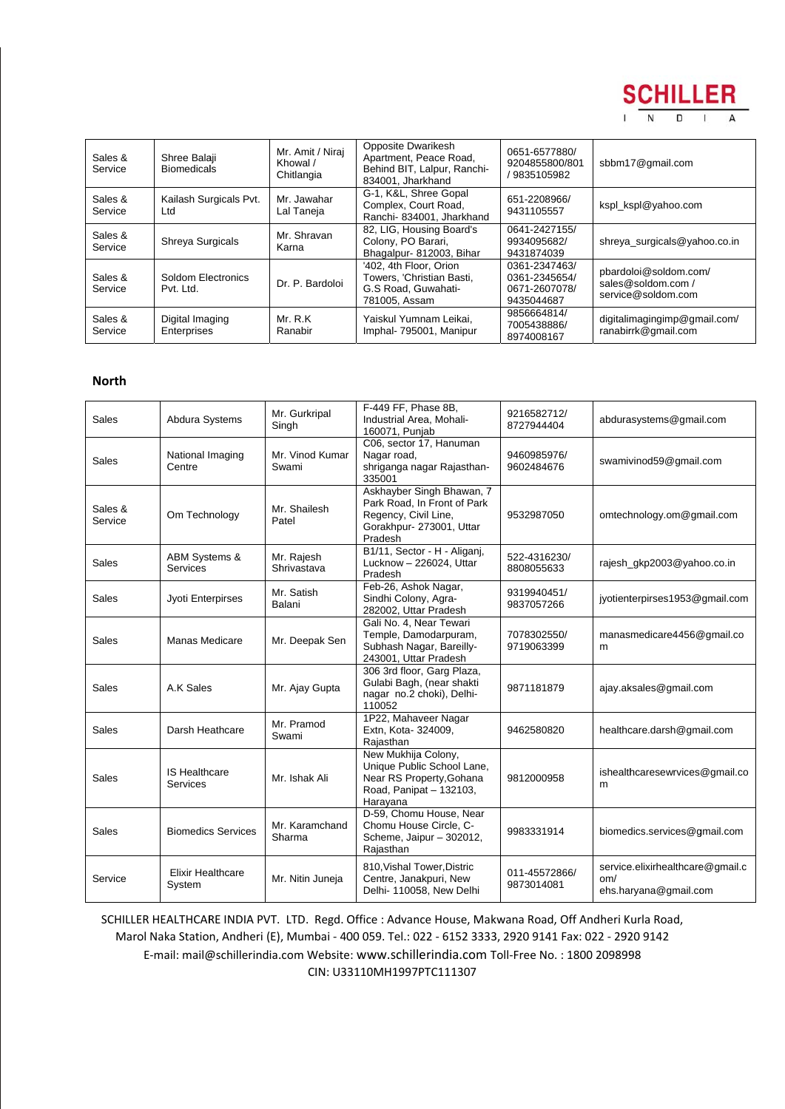

| Sales &<br>Service | Shree Balaji<br><b>Biomedicals</b> | Mr. Amit / Niraj<br>Khowal /<br>Chitlangia | <b>Opposite Dwarikesh</b><br>Apartment, Peace Road,<br>Behind BIT, Lalpur, Ranchi-<br>834001. Jharkhand | 0651-6577880/<br>9204855800/801<br>/9835105982                | sbbm17@gmail.com                                                 |
|--------------------|------------------------------------|--------------------------------------------|---------------------------------------------------------------------------------------------------------|---------------------------------------------------------------|------------------------------------------------------------------|
| Sales &<br>Service | Kailash Surgicals Pvt.<br>Ltd      | Mr. Jawahar<br>Lal Taneja                  | G-1, K&L, Shree Gopal<br>Complex, Court Road,<br>Ranchi- 834001, Jharkhand                              | 651-2208966/<br>9431105557                                    | kspl_kspl@yahoo.com                                              |
| Sales &<br>Service | Shreya Surgicals                   | Mr. Shravan<br>Karna                       | 82, LIG, Housing Board's<br>Colony, PO Barari,<br>Bhagalpur- 812003, Bihar                              | 0641-2427155/<br>9934095682/<br>9431874039                    | shreya surgicals@yahoo.co.in                                     |
| Sales &<br>Service | Soldom Electronics<br>Pvt. Ltd.    | Dr. P. Bardoloi                            | '402, 4th Floor, Orion<br>Towers, 'Christian Basti,<br>G.S Road, Guwahati-<br>781005. Assam             | 0361-2347463/<br>0361-2345654/<br>0671-2607078/<br>9435044687 | pbardoloi@soldom.com/<br>sales@soldom.com/<br>service@soldom.com |
| Sales &<br>Service | Digital Imaging<br>Enterprises     | Mr. R.K<br>Ranabir                         | Yaiskul Yumnam Leikai,<br>Imphal- 795001, Manipur                                                       | 9856664814/<br>7005438886/<br>8974008167                      | digitalimagingimp@gmail.com/<br>ranabirrk@gmail.com              |

### **North**

| Sales              | Abdura Systems                              | Mr. Gurkripal<br>Singh    | F-449 FF, Phase 8B,<br>Industrial Area, Mohali-<br>160071, Punjab                                                       | 9216582712/<br>8727944404   | abdurasystems@gmail.com                                          |
|--------------------|---------------------------------------------|---------------------------|-------------------------------------------------------------------------------------------------------------------------|-----------------------------|------------------------------------------------------------------|
| <b>Sales</b>       | National Imaging<br>Centre                  | Mr. Vinod Kumar<br>Swami  | C06, sector 17, Hanuman<br>Nagar road,<br>shriganga nagar Rajasthan-<br>335001                                          | 9460985976/<br>9602484676   | swamivinod59@gmail.com                                           |
| Sales &<br>Service | Om Technology                               | Mr. Shailesh<br>Patel     | Askhayber Singh Bhawan, 7<br>Park Road, In Front of Park<br>Regency, Civil Line,<br>Gorakhpur- 273001, Uttar<br>Pradesh | 9532987050                  | omtechnology.om@gmail.com                                        |
| Sales              | <b>ABM Systems &amp;</b><br><b>Services</b> | Mr. Rajesh<br>Shrivastava | B1/11, Sector - H - Aliganj,<br>Lucknow - 226024, Uttar<br>Pradesh                                                      | 522-4316230/<br>8808055633  | rajesh qkp2003@yahoo.co.in                                       |
| Sales              | Jyoti Enterpirses                           | Mr. Satish<br>Balani      | Feb-26, Ashok Nagar,<br>Sindhi Colony, Agra-<br>282002, Uttar Pradesh                                                   | 9319940451/<br>9837057266   | jyotienterpirses1953@gmail.com                                   |
| Sales              | Manas Medicare                              | Mr. Deepak Sen            | Gali No. 4, Near Tewari<br>Temple, Damodarpuram,<br>Subhash Nagar, Bareilly-<br>243001, Uttar Pradesh                   | 7078302550/<br>9719063399   | manasmedicare4456@gmail.co<br>m                                  |
| Sales              | A.K Sales                                   | Mr. Ajay Gupta            | 306 3rd floor, Garg Plaza,<br>Gulabi Bagh, (near shakti<br>nagar no.2 choki), Delhi-<br>110052                          | 9871181879                  | ajay.aksales@gmail.com                                           |
| Sales              | Darsh Heathcare                             | Mr. Pramod<br>Swami       | 1P22, Mahaveer Nagar<br>Extn, Kota- 324009,<br>Rajasthan                                                                | 9462580820                  | healthcare.darsh@gmail.com                                       |
| Sales              | <b>IS Healthcare</b><br>Services            | Mr. Ishak Ali             | New Mukhija Colony,<br>Unique Public School Lane,<br>Near RS Property, Gohana<br>Road, Panipat - 132103,<br>Harayana    | 9812000958                  | ishealthcaresewrvices@gmail.co<br>m                              |
| <b>Sales</b>       | <b>Biomedics Services</b>                   | Mr. Karamchand<br>Sharma  | D-59, Chomu House, Near<br>Chomu House Circle, C-<br>Scheme, Jaipur - 302012,<br>Rajasthan                              | 9983331914                  | biomedics.services@gmail.com                                     |
| Service            | <b>Elixir Healthcare</b><br>System          | Mr. Nitin Juneja          | 810, Vishal Tower, Distric<br>Centre, Janakpuri, New<br>Delhi- 110058, New Delhi                                        | 011-45572866/<br>9873014081 | service.elixirhealthcare@gmail.c<br>om/<br>ehs.haryana@gmail.com |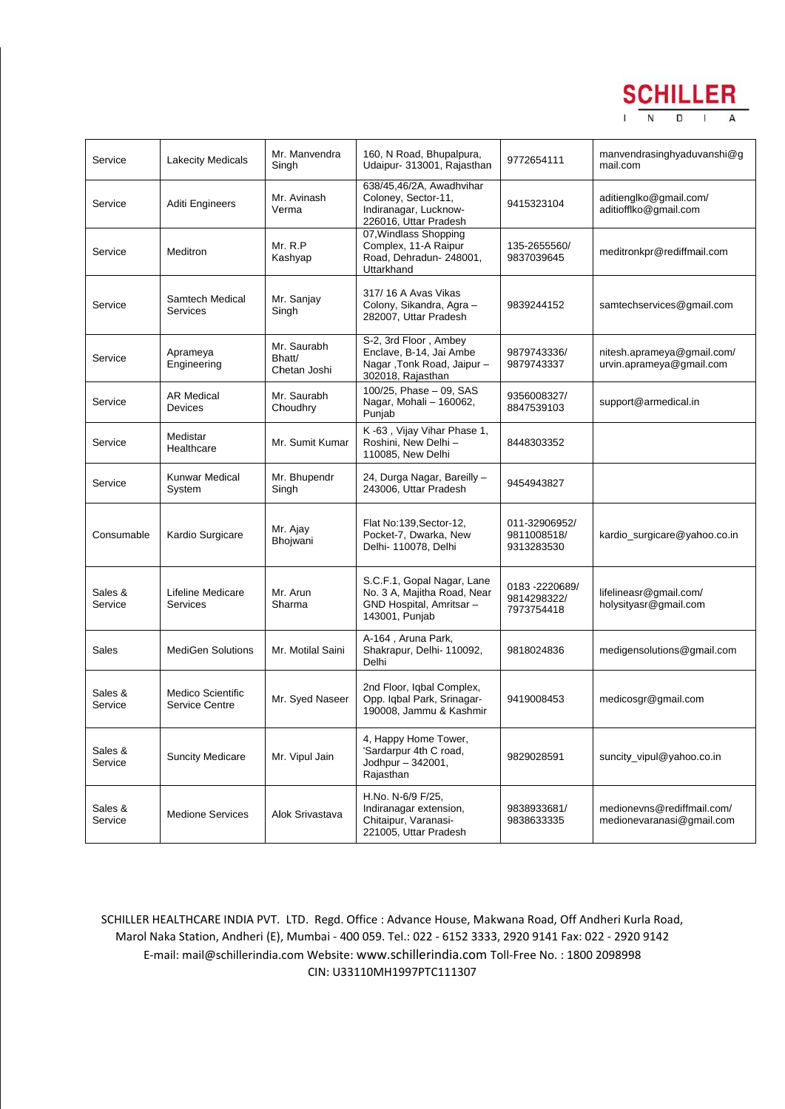

| Service            | <b>Lakecity Medicals</b>                   | Mr. Manvendra<br>Singh                | 160, N Road, Bhupalpura,<br>Udaipur- 313001, Rajasthan                                                 | 9772654111                                  | manvendrasinghyaduvanshi@g<br>mail.com                  |
|--------------------|--------------------------------------------|---------------------------------------|--------------------------------------------------------------------------------------------------------|---------------------------------------------|---------------------------------------------------------|
| Service            | Aditi Engineers                            | Mr. Avinash<br>Verma                  | 638/45,46/2A, Awadhvihar<br>Coloney, Sector-11,<br>Indiranagar, Lucknow-<br>226016, Uttar Pradesh      | 9415323104                                  | aditienglko@gmail.com/<br>aditiofflko@gmail.com         |
| Service            | Meditron                                   | Mr. R.P<br>Kashyap                    | 07, Windlass Shopping<br>Complex, 11-A Raipur<br>Road, Dehradun- 248001,<br>Uttarkhand                 | 135-2655560/<br>9837039645                  | meditronkpr@rediffmail.com                              |
| Service            | Samtech Medical<br>Services                | Mr. Sanjay<br>Singh                   | 317/16 A Avas Vikas<br>Colony, Sikandra, Agra -<br>282007, Uttar Pradesh                               | 9839244152                                  | samtechservices@gmail.com                               |
| Service            | Aprameya<br>Engineering                    | Mr. Saurabh<br>Bhatt/<br>Chetan Joshi | S-2, 3rd Floor, Ambey<br>Enclave, B-14, Jai Ambe<br>Nagar, Tonk Road, Jaipur-<br>302018, Rajasthan     | 9879743336/<br>9879743337                   | nitesh.aprameya@gmail.com/<br>urvin.aprameya@gmail.com  |
| Service            | <b>AR Medical</b><br><b>Devices</b>        | Mr. Saurabh<br>Choudhry               | 100/25, Phase - 09, SAS<br>Nagar, Mohali - 160062,<br>Punjab                                           | 9356008327/<br>8847539103                   | support@armedical.in                                    |
| Service            | Medistar<br>Healthcare                     | Mr. Sumit Kumar                       | K-63, Vijay Vihar Phase 1,<br>Roshini, New Delhi -<br>110085, New Delhi                                | 8448303352                                  |                                                         |
| Service            | <b>Kunwar Medical</b><br>System            | Mr. Bhupendr<br>Singh                 | 24, Durga Nagar, Bareilly -<br>243006, Uttar Pradesh                                                   | 9454943827                                  |                                                         |
| Consumable         | Kardio Surgicare                           | Mr. Ajay<br>Bhojwani                  | Flat No:139, Sector-12,<br>Pocket-7, Dwarka, New<br>Delhi- 110078, Delhi                               | 011-32906952/<br>9811008518/<br>9313283530  | kardio_surgicare@yahoo.co.in                            |
| Sales &<br>Service | Lifeline Medicare<br>Services              | Mr. Arun<br>Sharma                    | S.C.F.1, Gopal Nagar, Lane<br>No. 3 A, Majitha Road, Near<br>GND Hospital, Amritsar-<br>143001, Punjab | 0183 -2220689/<br>9814298322/<br>7973754418 | lifelineasr@gmail.com/<br>holysityasr@gmail.com         |
| Sales              | <b>MediGen Solutions</b>                   | Mr. Motilal Saini                     | A-164, Aruna Park,<br>Shakrapur, Delhi- 110092,<br>Delhi                                               | 9818024836                                  | medigensolutions@gmail.com                              |
| Sales &<br>Service | <b>Medico Scientific</b><br>Service Centre | Mr. Syed Naseer                       | 2nd Floor, Igbal Complex,<br>Opp. Iqbal Park, Srinagar-<br>190008, Jammu & Kashmir                     | 9419008453                                  | medicosgr@gmail.com                                     |
| Sales &<br>Service | <b>Suncity Medicare</b>                    | Mr. Vipul Jain                        | 4, Happy Home Tower,<br>'Sardarpur 4th C road,<br>Jodhpur - 342001,<br>Rajasthan                       | 9829028591                                  | suncity_vipul@yahoo.co.in                               |
| Sales &<br>Service | <b>Medione Services</b>                    | Alok Srivastava                       | H.No. N-6/9 F/25,<br>Indiranagar extension,<br>Chitaipur, Varanasi-<br>221005, Uttar Pradesh           | 9838933681/<br>9838633335                   | medionevns@rediffmail.com/<br>medionevaranasi@gmail.com |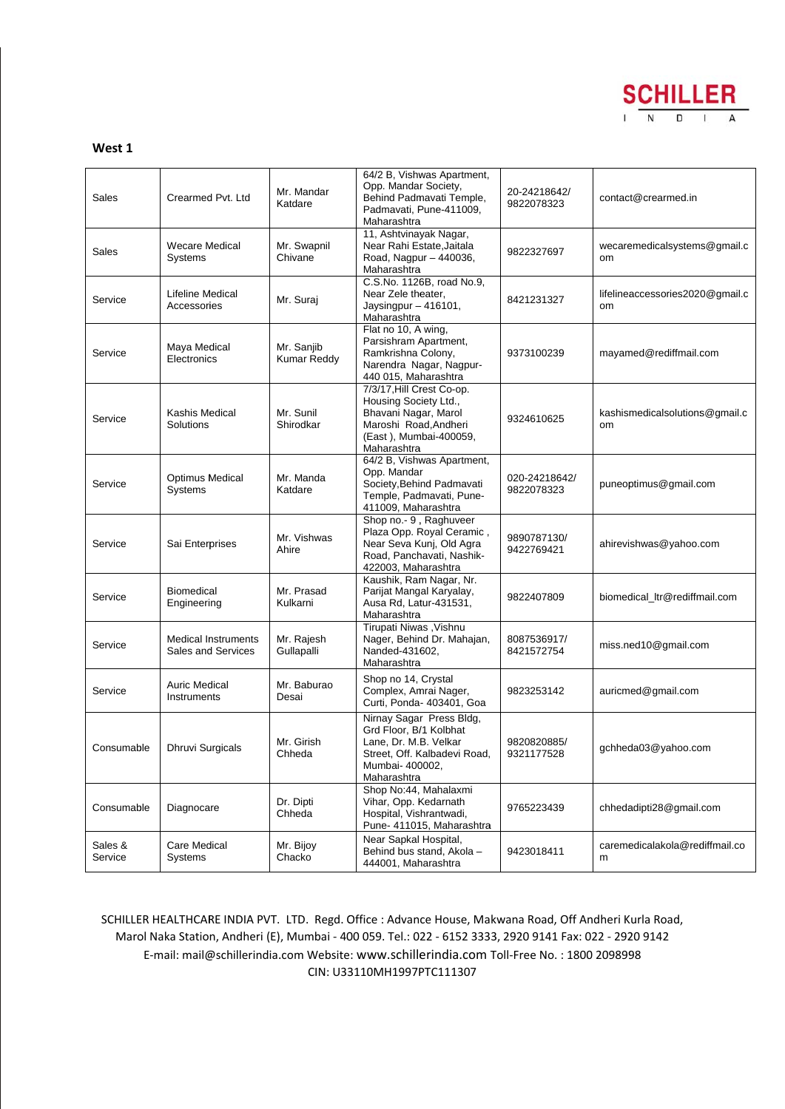

#### **West 1**

| Sales              | Crearmed Pvt. Ltd                                       | Mr. Mandar<br>Katdare            | 64/2 B, Vishwas Apartment,<br>Opp. Mandar Society,<br>Behind Padmavati Temple,<br>Padmavati, Pune-411009,<br>Maharashtra                      | 20-24218642/<br>9822078323  | contact@crearmed.in                         |
|--------------------|---------------------------------------------------------|----------------------------------|-----------------------------------------------------------------------------------------------------------------------------------------------|-----------------------------|---------------------------------------------|
| Sales              | <b>Wecare Medical</b><br><b>Systems</b>                 | Mr. Swapnil<br>Chivane           | 11, Ashtvinayak Nagar,<br>Near Rahi Estate, Jaitala<br>Road, Nagpur - 440036,<br>Maharashtra                                                  | 9822327697                  | wecaremedicalsystems@gmail.c<br>om          |
| Service            | Lifeline Medical<br>Accessories                         | Mr. Suraj                        | C.S.No. 1126B, road No.9,<br>Near Zele theater,<br>Jaysingpur - 416101,<br>Maharashtra                                                        | 8421231327                  | lifelineaccessories2020@gmail.c<br>om       |
| Service            | Maya Medical<br>Electronics                             | Mr. Sanjib<br><b>Kumar Reddy</b> | Flat no 10, A wing,<br>Parsishram Apartment,<br>Ramkrishna Colony,<br>Narendra Nagar, Nagpur-<br>440 015, Maharashtra                         | 9373100239                  | mayamed@rediffmail.com                      |
| Service            | Kashis Medical<br>Solutions                             | Mr. Sunil<br>Shirodkar           | 7/3/17, Hill Crest Co-op.<br>Housing Society Ltd.,<br>Bhavani Nagar, Marol<br>Maroshi Road, Andheri<br>(East), Mumbai-400059,<br>Maharashtra  | 9324610625                  | kashismedicalsolutions@gmail.c<br><b>om</b> |
| Service            | <b>Optimus Medical</b><br>Systems                       | Mr. Manda<br>Katdare             | 64/2 B, Vishwas Apartment,<br>Opp. Mandar<br>Society, Behind Padmavati<br>Temple, Padmavati, Pune-<br>411009, Maharashtra                     | 020-24218642/<br>9822078323 | puneoptimus@gmail.com                       |
| Service            | Sai Enterprises                                         | Mr. Vishwas<br>Ahire             | Shop no.- 9, Raghuveer<br>Plaza Opp. Royal Ceramic,<br>Near Seva Kunj, Old Agra<br>Road, Panchavati, Nashik-<br>422003, Maharashtra           | 9890787130/<br>9422769421   | ahirevishwas@yahoo.com                      |
| Service            | <b>Biomedical</b><br>Engineering                        | Mr. Prasad<br>Kulkarni           | Kaushik, Ram Nagar, Nr.<br>Parijat Mangal Karyalay,<br>Ausa Rd, Latur-431531,<br>Maharashtra                                                  | 9822407809                  | biomedical_ltr@rediffmail.com               |
| Service            | <b>Medical Instruments</b><br><b>Sales and Services</b> | Mr. Rajesh<br>Gullapalli         | Tirupati Niwas, Vishnu<br>Nager, Behind Dr. Mahajan,<br>Nanded-431602,<br>Maharashtra                                                         | 8087536917/<br>8421572754   | miss.ned10@gmail.com                        |
| Service            | <b>Auric Medical</b><br>Instruments                     | Mr. Baburao<br>Desai             | Shop no 14, Crystal<br>Complex, Amrai Nager,<br>Curti, Ponda- 403401, Goa                                                                     | 9823253142                  | auricmed@gmail.com                          |
| Consumable         | <b>Dhruvi Surgicals</b>                                 | Mr. Girish<br>Chheda             | Nirnay Sagar Press Bldg,<br>Grd Floor, B/1 Kolbhat<br>Lane, Dr. M.B. Velkar<br>Street, Off. Kalbadevi Road,<br>Mumbai- 400002,<br>Maharashtra | 9820820885/<br>9321177528   | gchheda03@yahoo.com                         |
| Consumable         | Diagnocare                                              | Dr. Dipti<br>Chheda              | Shop No:44, Mahalaxmi<br>Vihar, Opp. Kedarnath<br>Hospital, Vishrantwadi,<br>Pune- 411015, Maharashtra                                        | 9765223439                  | chhedadipti28@gmail.com                     |
| Sales &<br>Service | Care Medical<br>Systems                                 | Mr. Bijoy<br>Chacko              | Near Sapkal Hospital,<br>Behind bus stand, Akola -<br>444001, Maharashtra                                                                     | 9423018411                  | caremedicalakola@rediffmail.co<br>m         |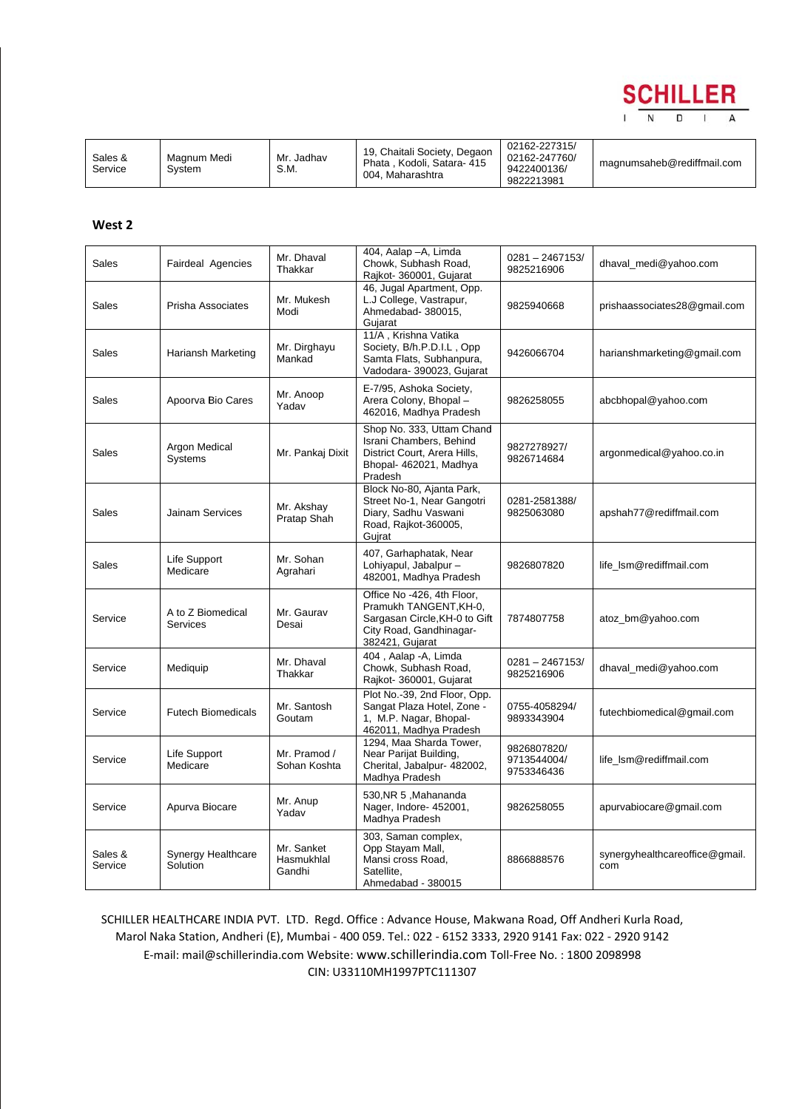

| Sales &<br>Service | Magnum Medi<br>Svstem | Mr. Jadhav<br>S.M. | 19, Chaitali Society, Degaon<br>. Kodoli. Satara- 415<br>Phata<br>004. Maharashtra | 02162-227315/<br>02162-247760/<br>9422400136/<br>9822213981 | magnumsaheb@rediffmail.com |
|--------------------|-----------------------|--------------------|------------------------------------------------------------------------------------|-------------------------------------------------------------|----------------------------|
|--------------------|-----------------------|--------------------|------------------------------------------------------------------------------------|-------------------------------------------------------------|----------------------------|

#### **West 2**

| Sales              | Fairdeal Agencies               | Mr. Dhaval<br>Thakkar              | 404, Aalap - A, Limda<br>Chowk, Subhash Road,<br>Rajkot- 360001, Gujarat                                                            | $0281 - 2467153/$<br>9825216906          | dhaval_medi@yahoo.com                 |
|--------------------|---------------------------------|------------------------------------|-------------------------------------------------------------------------------------------------------------------------------------|------------------------------------------|---------------------------------------|
| Sales              | Prisha Associates               | Mr. Mukesh<br>Modi                 | 46, Jugal Apartment, Opp.<br>L.J College, Vastrapur,<br>Ahmedabad- 380015,<br>Gujarat                                               | 9825940668                               | prishaassociates28@gmail.com          |
| Sales              | Hariansh Marketing              | Mr. Dirghayu<br>Mankad             | 11/A, Krishna Vatika<br>Society, B/h.P.D.I.L, Opp<br>Samta Flats, Subhanpura,<br>Vadodara- 390023, Gujarat                          | 9426066704                               | harianshmarketing@gmail.com           |
| Sales              | Apoorva Bio Cares               | Mr. Anoop<br>Yadav                 | E-7/95, Ashoka Society,<br>Arera Colony, Bhopal-<br>462016, Madhya Pradesh                                                          | 9826258055                               | abcbhopal@yahoo.com                   |
| Sales              | Argon Medical<br><b>Systems</b> | Mr. Pankaj Dixit                   | Shop No. 333, Uttam Chand<br>Israni Chambers, Behind<br>District Court, Arera Hills,<br>Bhopal- 462021, Madhya<br>Pradesh           | 9827278927/<br>9826714684                | argonmedical@yahoo.co.in              |
| Sales              | Jainam Services                 | Mr. Akshay<br>Pratap Shah          | Block No-80, Ajanta Park,<br>Street No-1, Near Gangotri<br>Diary, Sadhu Vaswani<br>Road, Rajkot-360005,<br>Gujrat                   | 0281-2581388/<br>9825063080              | apshah77@rediffmail.com               |
| Sales              | Life Support<br>Medicare        | Mr. Sohan<br>Agrahari              | 407, Garhaphatak, Near<br>Lohiyapul, Jabalpur -<br>482001, Madhya Pradesh                                                           | 9826807820                               | life_lsm@rediffmail.com               |
| Service            | A to Z Biomedical<br>Services   | Mr. Gaurav<br>Desai                | Office No -426, 4th Floor,<br>Pramukh TANGENT, KH-0,<br>Sargasan Circle, KH-0 to Gift<br>City Road, Gandhinagar-<br>382421, Gujarat | 7874807758                               | atoz_bm@yahoo.com                     |
| Service            | Mediquip                        | Mr. Dhaval<br>Thakkar              | 404, Aalap - A, Limda<br>Chowk, Subhash Road,<br>Rajkot- 360001, Gujarat                                                            | $0281 - 2467153/$<br>9825216906          | dhaval_medi@yahoo.com                 |
| Service            | <b>Futech Biomedicals</b>       | Mr. Santosh<br>Goutam              | Plot No.-39, 2nd Floor, Opp.<br>Sangat Plaza Hotel, Zone -<br>1, M.P. Nagar, Bhopal-<br>462011, Madhya Pradesh                      | 0755-4058294/<br>9893343904              | futechbiomedical@gmail.com            |
| Service            | Life Support<br>Medicare        | Mr. Pramod /<br>Sohan Koshta       | 1294, Maa Sharda Tower,<br>Near Parijat Building,<br>Cherital, Jabalpur- 482002,<br>Madhya Pradesh                                  | 9826807820/<br>9713544004/<br>9753346436 | life_lsm@rediffmail.com               |
| Service            | Apurva Biocare                  | Mr. Anup<br>Yadav                  | 530, NR 5, Mahananda<br>Nager, Indore- 452001,<br>Madhya Pradesh                                                                    | 9826258055                               | apurvabiocare@gmail.com               |
| Sales &<br>Service | Synergy Healthcare<br>Solution  | Mr. Sanket<br>Hasmukhlal<br>Gandhi | 303, Saman complex,<br>Opp Stayam Mall,<br>Mansi cross Road,<br>Satellite,<br>Ahmedabad - 380015                                    | 8866888576                               | synergyhealthcareoffice@gmail.<br>com |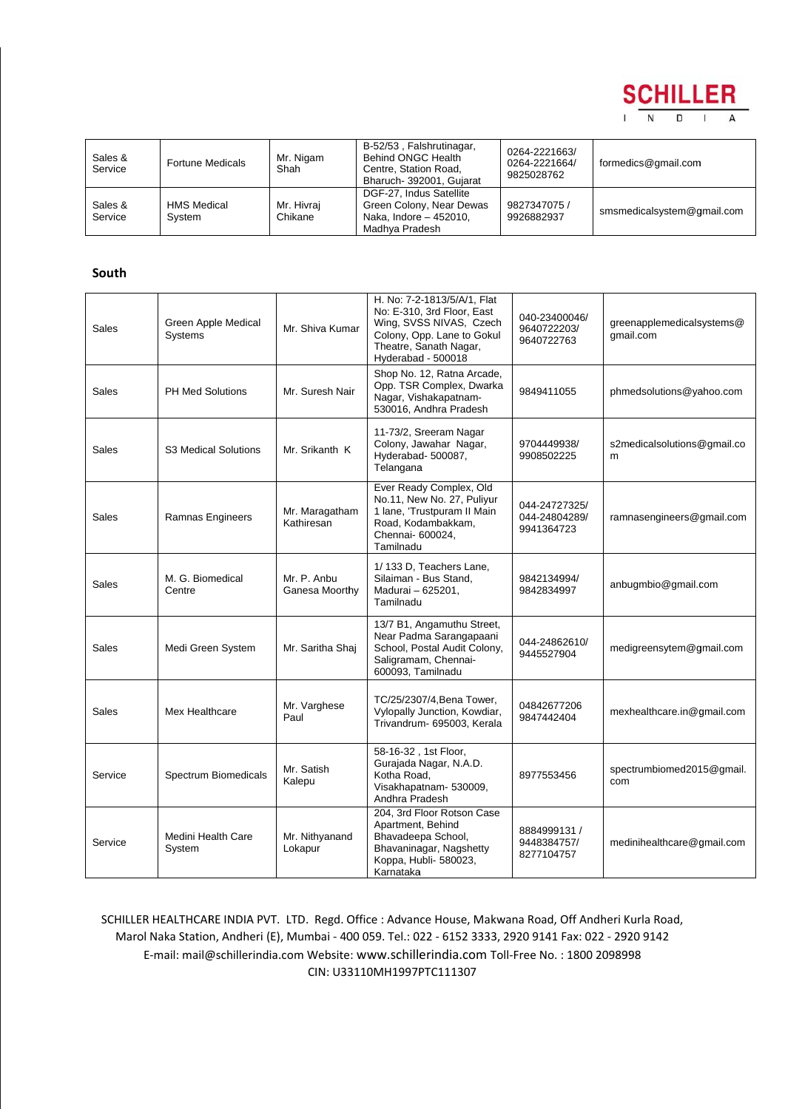

| Sales &<br>Service | <b>Fortune Medicals</b>      | Mr. Nigam<br>Shah     | B-52/53, Falshrutinagar,<br>Behind ONGC Health<br>Centre, Station Road,<br>Bharuch- 392001, Gujarat | 0264-2221663/<br>0264-2221664/<br>9825028762 | formedics@gmail.com        |
|--------------------|------------------------------|-----------------------|-----------------------------------------------------------------------------------------------------|----------------------------------------------|----------------------------|
| Sales &<br>Service | <b>HMS Medical</b><br>System | Mr. Hivraj<br>Chikane | DGF-27. Indus Satellite<br>Green Colony, Near Dewas<br>Naka, Indore - 452010,<br>Madhya Pradesh     | 9827347075 /<br>9926882937                   | smsmedicalsystem@gmail.com |

### **South**

| Sales   | Green Apple Medical<br>Systems | Mr. Shiva Kumar               | H. No: 7-2-1813/5/A/1, Flat<br>No: E-310, 3rd Floor, East<br>Wing, SVSS NIVAS, Czech<br>Colony, Opp. Lane to Gokul<br>Theatre, Sanath Nagar,<br>Hyderabad - 500018 | 040-23400046/<br>9640722203/<br>9640722763   | greenapplemedicalsystems@<br>qmail.com |
|---------|--------------------------------|-------------------------------|--------------------------------------------------------------------------------------------------------------------------------------------------------------------|----------------------------------------------|----------------------------------------|
| Sales   | <b>PH Med Solutions</b>        | Mr. Suresh Nair               | Shop No. 12, Ratna Arcade,<br>Opp. TSR Complex, Dwarka<br>Nagar, Vishakapatnam-<br>530016, Andhra Pradesh                                                          | 9849411055                                   | phmedsolutions@yahoo.com               |
| Sales   | <b>S3 Medical Solutions</b>    | Mr. Srikanth K                | 11-73/2, Sreeram Nagar<br>Colony, Jawahar Nagar,<br>Hyderabad- 500087,<br>Telangana                                                                                | 9704449938/<br>9908502225                    | s2medicalsolutions@gmail.co<br>m       |
| Sales   | Ramnas Engineers               | Mr. Maragatham<br>Kathiresan  | Ever Ready Complex, Old<br>No.11, New No. 27, Puliyur<br>1 Iane, 'Trustpuram II Main<br>Road, Kodambakkam,<br>Chennai- 600024,<br>Tamilnadu                        | 044-24727325/<br>044-24804289/<br>9941364723 | ramnasengineers@gmail.com              |
| Sales   | M. G. Biomedical<br>Centre     | Mr. P. Anbu<br>Ganesa Moorthy | 1/133 D. Teachers Lane.<br>Silaiman - Bus Stand,<br>Madurai - 625201,<br>Tamilnadu                                                                                 | 9842134994/<br>9842834997                    | anbugmbio@gmail.com                    |
| Sales   | Medi Green System              | Mr. Saritha Shaj              | 13/7 B1, Angamuthu Street,<br>Near Padma Sarangapaani<br>School, Postal Audit Colony,<br>Saligramam, Chennai-<br>600093, Tamilnadu                                 | 044-24862610/<br>9445527904                  | medigreensytem@gmail.com               |
| Sales   | Mex Healthcare                 | Mr. Varghese<br>Paul          | TC/25/2307/4, Bena Tower,<br>Vylopally Junction, Kowdiar,<br>Trivandrum- 695003, Kerala                                                                            | 04842677206<br>9847442404                    | mexhealthcare.in@gmail.com             |
| Service | Spectrum Biomedicals           | Mr. Satish<br>Kalepu          | 58-16-32, 1st Floor,<br>Gurajada Nagar, N.A.D.<br>Kotha Road,<br>Visakhapatnam- 530009,<br>Andhra Pradesh                                                          | 8977553456                                   | spectrumbiomed2015@gmail.<br>com       |
| Service | Medini Health Care<br>System   | Mr. Nithyanand<br>Lokapur     | 204, 3rd Floor Rotson Case<br>Apartment, Behind<br>Bhavadeepa School,<br>Bhavaninagar, Nagshetty<br>Koppa, Hubli- 580023,<br>Karnataka                             | 8884999131 /<br>9448384757/<br>8277104757    | medinihealthcare@gmail.com             |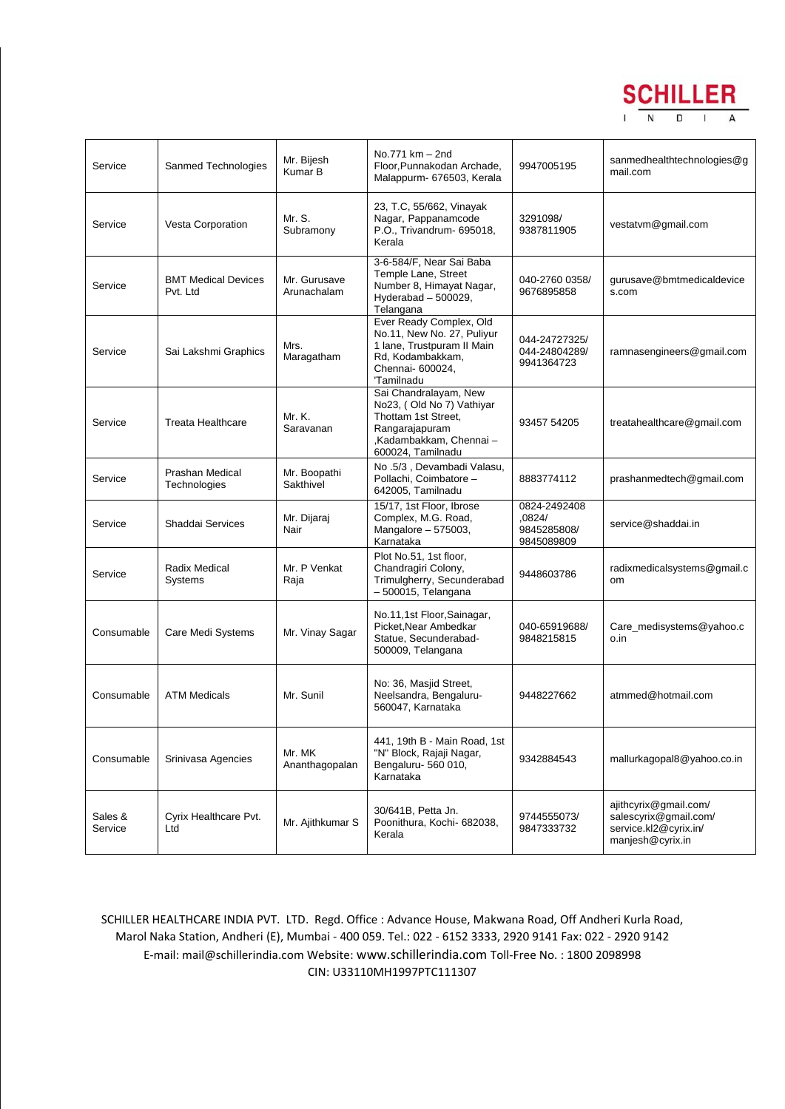

| Service            | Sanmed Technologies                    | Mr. Bijesh<br>Kumar B       | No.771 km - 2nd<br>Floor, Punnakodan Archade,<br>Malappurm- 676503, Kerala                                                                 | 9947005195                                          | sanmedhealthtechnologies@g<br>mail.com                                                      |
|--------------------|----------------------------------------|-----------------------------|--------------------------------------------------------------------------------------------------------------------------------------------|-----------------------------------------------------|---------------------------------------------------------------------------------------------|
| Service            | Vesta Corporation                      | Mr. S.<br>Subramony         | 23, T.C, 55/662, Vinayak<br>Nagar, Pappanamcode<br>P.O., Trivandrum- 695018,<br>Kerala                                                     | 3291098/<br>9387811905                              | vestatvm@gmail.com                                                                          |
| Service            | <b>BMT Medical Devices</b><br>Pvt. Ltd | Mr. Gurusave<br>Arunachalam | 3-6-584/F, Near Sai Baba<br>Temple Lane, Street<br>Number 8, Himayat Nagar,<br>Hyderabad $-500029$ .<br>Telangana                          | 040-2760 0358/<br>9676895858                        | gurusave@bmtmedicaldevice<br>s.com                                                          |
| Service            | Sai Lakshmi Graphics                   | Mrs.<br>Maragatham          | Ever Ready Complex, Old<br>No.11, New No. 27, Puliyur<br>1 Iane, Trustpuram II Main<br>Rd, Kodambakkam,<br>Chennai- 600024,<br>'Tamilnadu  | 044-24727325/<br>044-24804289/<br>9941364723        | ramnasengineers@gmail.com                                                                   |
| Service            | <b>Treata Healthcare</b>               | Mr. K.<br>Saravanan         | Sai Chandralayam, New<br>No23, (Old No 7) Vathiyar<br>Thottam 1st Street,<br>Rangarajapuram<br>,Kadambakkam, Chennai-<br>600024, Tamilnadu | 93457 54205                                         | treatahealthcare@gmail.com                                                                  |
| Service            | <b>Prashan Medical</b><br>Technologies | Mr. Boopathi<br>Sakthivel   | No .5/3, Devambadi Valasu,<br>Pollachi, Coimbatore -<br>642005. Tamilnadu                                                                  | 8883774112                                          | prashanmedtech@gmail.com                                                                    |
| Service            | Shaddai Services                       | Mr. Dijaraj<br>Nair         | 15/17, 1st Floor, Ibrose<br>Complex, M.G. Road,<br>Mangalore - 575003,<br>Karnataka                                                        | 0824-2492408<br>,0824/<br>9845285808/<br>9845089809 | service@shaddai.in                                                                          |
| Service            | <b>Radix Medical</b><br>Systems        | Mr. P Venkat<br>Raja        | Plot No.51, 1st floor,<br>Chandragiri Colony,<br>Trimulgherry, Secunderabad<br>- 500015, Telangana                                         | 9448603786                                          | radixmedicalsystems@gmail.c<br>om                                                           |
| Consumable         | Care Medi Systems                      | Mr. Vinay Sagar             | No.11,1st Floor, Sainagar,<br>Picket, Near Ambedkar<br>Statue, Secunderabad-<br>500009, Telangana                                          | 040-65919688/<br>9848215815                         | Care_medisystems@yahoo.c<br>o.in                                                            |
| Consumable         | <b>ATM Medicals</b>                    | Mr. Sunil                   | No: 36, Masjid Street,<br>Neelsandra, Bengaluru-<br>560047, Karnataka                                                                      | 9448227662                                          | atmmed@hotmail.com                                                                          |
| Consumable         | Srinivasa Agencies                     | Mr. MK<br>Ananthagopalan    | 441, 19th B - Main Road, 1st<br>"N" Block, Rajaji Nagar,<br>Bengaluru- 560 010,<br>Karnataka                                               | 9342884543                                          | mallurkagopal8@yahoo.co.in                                                                  |
| Sales &<br>Service | Cyrix Healthcare Pvt.<br>Ltd           | Mr. Ajithkumar S            | 30/641B, Petta Jn.<br>Poonithura, Kochi- 682038,<br>Kerala                                                                                 | 9744555073/<br>9847333732                           | ajithcyrix@gmail.com/<br>salescyrix@gmail.com/<br>service.kl2@cyrix.in/<br>manjesh@cyrix.in |